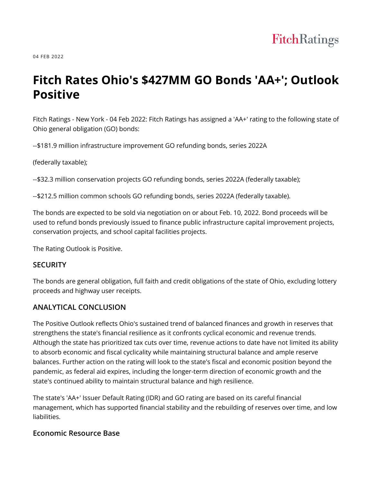04 FEB 2022

# **Fitch Rates Ohio's \$427MM GO Bonds 'AA+'; Outlook Positive**

Fitch Ratings - New York - 04 Feb 2022: Fitch Ratings has assigned a 'AA+' rating to the following state of Ohio general obligation (GO) bonds:

--\$181.9 million infrastructure improvement GO refunding bonds, series 2022A

(federally taxable);

--\$32.3 million conservation projects GO refunding bonds, series 2022A (federally taxable);

--\$212.5 million common schools GO refunding bonds, series 2022A (federally taxable).

The bonds are expected to be sold via negotiation on or about Feb. 10, 2022. Bond proceeds will be used to refund bonds previously issued to finance public infrastructure capital improvement projects, conservation projects, and school capital facilities projects.

The Rating Outlook is Positive.

#### **SECURITY**

The bonds are general obligation, full faith and credit obligations of the state of Ohio, excluding lottery proceeds and highway user receipts.

#### **ANALYTICAL CONCLUSION**

The Positive Outlook reflects Ohio's sustained trend of balanced finances and growth in reserves that strengthens the state's financial resilience as it confronts cyclical economic and revenue trends. Although the state has prioritized tax cuts over time, revenue actions to date have not limited its ability to absorb economic and fiscal cyclicality while maintaining structural balance and ample reserve balances. Further action on the rating will look to the state's fiscal and economic position beyond the pandemic, as federal aid expires, including the longer-term direction of economic growth and the state's continued ability to maintain structural balance and high resilience.

The state's 'AA+' Issuer Default Rating (IDR) and GO rating are based on its careful financial management, which has supported financial stability and the rebuilding of reserves over time, and low liabilities.

#### **Economic Resource Base**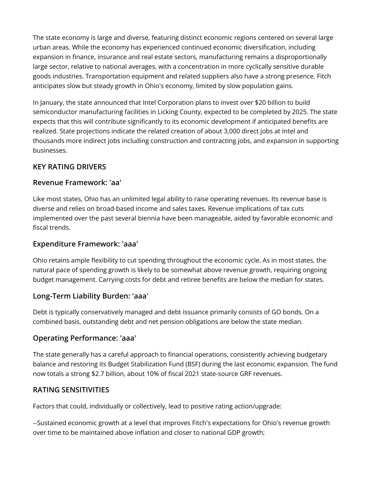The state economy is large and diverse, featuring distinct economic regions centered on several large urban areas. While the economy has experienced continued economic diversification, including expansion in finance, insurance and real estate sectors, manufacturing remains a disproportionally large sector, relative to national averages, with a concentration in more cyclically sensitive durable goods industries. Transportation equipment and related suppliers also have a strong presence. Fitch anticipates slow but steady growth in Ohio's economy, limited by slow population gains.

In January, the state announced that Intel Corporation plans to invest over \$20 billion to build semiconductor manufacturing facilities in Licking County, expected to be completed by 2025. The state expects that this will contribute significantly to its economic development if anticipated benefits are realized. State projections indicate the related creation of about 3,000 direct jobs at Intel and thousands more indirect jobs including construction and contracting jobs, and expansion in supporting businesses.

# **KEY RATING DRIVERS**

#### **Revenue Framework: 'aa'**

Like most states, Ohio has an unlimited legal ability to raise operating revenues. Its revenue base is diverse and relies on broad-based income and sales taxes. Revenue implications of tax cuts implemented over the past several biennia have been manageable, aided by favorable economic and fiscal trends.

## **Expenditure Framework: 'aaa'**

Ohio retains ample flexibility to cut spending throughout the economic cycle. As in most states, the natural pace of spending growth is likely to be somewhat above revenue growth, requiring ongoing budget management. Carrying costs for debt and retiree benefits are below the median for states.

## **Long-Term Liability Burden: 'aaa'**

Debt is typically conservatively managed and debt issuance primarily consists of GO bonds. On a combined basis, outstanding debt and net pension obligations are below the state median.

## **Operating Performance: 'aaa'**

The state generally has a careful approach to financial operations, consistently achieving budgetary balance and restoring its Budget Stabilization Fund (BSF) during the last economic expansion. The fund now totals a strong \$2.7 billion, about 10% of fiscal 2021 state-source GRF revenues.

## **RATING SENSITIVITIES**

Factors that could, individually or collectively, lead to positive rating action/upgrade:

--Sustained economic growth at a level that improves Fitch's expectations for Ohio's revenue growth over time to be maintained above inflation and closer to national GDP growth;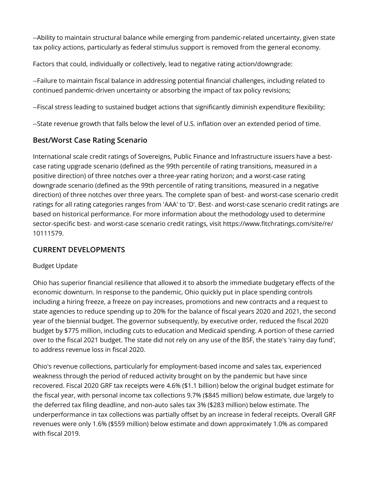--Ability to maintain structural balance while emerging from pandemic-related uncertainty, given state tax policy actions, particularly as federal stimulus support is removed from the general economy.

Factors that could, individually or collectively, lead to negative rating action/downgrade:

--Failure to maintain fiscal balance in addressing potential financial challenges, including related to continued pandemic-driven uncertainty or absorbing the impact of tax policy revisions;

--Fiscal stress leading to sustained budget actions that significantly diminish expenditure flexibility;

--State revenue growth that falls below the level of U.S. inflation over an extended period of time.

# **Best/Worst Case Rating Scenario**

International scale credit ratings of Sovereigns, Public Finance and Infrastructure issuers have a bestcase rating upgrade scenario (defined as the 99th percentile of rating transitions, measured in a positive direction) of three notches over a three-year rating horizon; and a worst-case rating downgrade scenario (defined as the 99th percentile of rating transitions, measured in a negative direction) of three notches over three years. The complete span of best- and worst-case scenario credit ratings for all rating categories ranges from 'AAA' to 'D'. Best- and worst-case scenario credit ratings are based on historical performance. For more information about the methodology used to determine sector-specific best- and worst-case scenario credit ratings, visit https://www.fitchratings.com/site/re/ 10111579.

# **CURRENT DEVELOPMENTS**

#### Budget Update

Ohio has superior financial resilience that allowed it to absorb the immediate budgetary effects of the economic downturn. In response to the pandemic, Ohio quickly put in place spending controls including a hiring freeze, a freeze on pay increases, promotions and new contracts and a request to state agencies to reduce spending up to 20% for the balance of fiscal years 2020 and 2021, the second year of the biennial budget. The governor subsequently, by executive order, reduced the fiscal 2020 budget by \$775 million, including cuts to education and Medicaid spending. A portion of these carried over to the fiscal 2021 budget. The state did not rely on any use of the BSF, the state's 'rainy day fund', to address revenue loss in fiscal 2020.

Ohio's revenue collections, particularly for employment-based income and sales tax, experienced weakness through the period of reduced activity brought on by the pandemic but have since recovered. Fiscal 2020 GRF tax receipts were 4.6% (\$1.1 billion) below the original budget estimate for the fiscal year, with personal income tax collections 9.7% (\$845 million) below estimate, due largely to the deferred tax filing deadline, and non-auto sales tax 3% (\$283 million) below estimate. The underperformance in tax collections was partially offset by an increase in federal receipts. Overall GRF revenues were only 1.6% (\$559 million) below estimate and down approximately 1.0% as compared with fiscal 2019.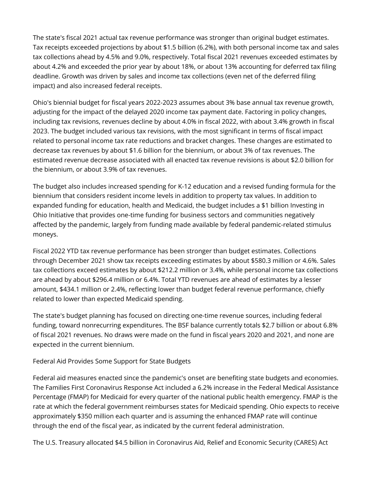The state's fiscal 2021 actual tax revenue performance was stronger than original budget estimates. Tax receipts exceeded projections by about \$1.5 billion (6.2%), with both personal income tax and sales tax collections ahead by 4.5% and 9.0%, respectively. Total fiscal 2021 revenues exceeded estimates by about 4.2% and exceeded the prior year by about 18%, or about 13% accounting for deferred tax filing deadline. Growth was driven by sales and income tax collections (even net of the deferred filing impact) and also increased federal receipts.

Ohio's biennial budget for fiscal years 2022-2023 assumes about 3% base annual tax revenue growth, adjusting for the impact of the delayed 2020 income tax payment date. Factoring in policy changes, including tax revisions, revenues decline by about 4.0% in fiscal 2022, with about 3.4% growth in fiscal 2023. The budget included various tax revisions, with the most significant in terms of fiscal impact related to personal income tax rate reductions and bracket changes. These changes are estimated to decrease tax revenues by about \$1.6 billion for the biennium, or about 3% of tax revenues. The estimated revenue decrease associated with all enacted tax revenue revisions is about \$2.0 billion for the biennium, or about 3.9% of tax revenues.

The budget also includes increased spending for K-12 education and a revised funding formula for the biennium that considers resident income levels in addition to property tax values. In addition to expanded funding for education, health and Medicaid, the budget includes a \$1 billion Investing in Ohio Initiative that provides one-time funding for business sectors and communities negatively affected by the pandemic, largely from funding made available by federal pandemic-related stimulus moneys.

Fiscal 2022 YTD tax revenue performance has been stronger than budget estimates. Collections through December 2021 show tax receipts exceeding estimates by about \$580.3 million or 4.6%. Sales tax collections exceed estimates by about \$212.2 million or 3.4%, while personal income tax collections are ahead by about \$296.4 million or 6.4%. Total YTD revenues are ahead of estimates by a lesser amount, \$434.1 million or 2.4%, reflecting lower than budget federal revenue performance, chiefly related to lower than expected Medicaid spending.

The state's budget planning has focused on directing one-time revenue sources, including federal funding, toward nonrecurring expenditures. The BSF balance currently totals \$2.7 billion or about 6.8% of fiscal 2021 revenues. No draws were made on the fund in fiscal years 2020 and 2021, and none are expected in the current biennium.

Federal Aid Provides Some Support for State Budgets

Federal aid measures enacted since the pandemic's onset are benefiting state budgets and economies. The Families First Coronavirus Response Act included a 6.2% increase in the Federal Medical Assistance Percentage (FMAP) for Medicaid for every quarter of the national public health emergency. FMAP is the rate at which the federal government reimburses states for Medicaid spending. Ohio expects to receive approximately \$350 million each quarter and is assuming the enhanced FMAP rate will continue through the end of the fiscal year, as indicated by the current federal administration.

The U.S. Treasury allocated \$4.5 billion in Coronavirus Aid, Relief and Economic Security (CARES) Act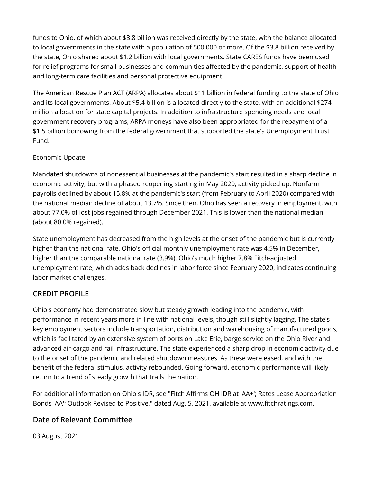funds to Ohio, of which about \$3.8 billion was received directly by the state, with the balance allocated to local governments in the state with a population of 500,000 or more. Of the \$3.8 billion received by the state, Ohio shared about \$1.2 billion with local governments. State CARES funds have been used for relief programs for small businesses and communities affected by the pandemic, support of health and long-term care facilities and personal protective equipment.

The American Rescue Plan ACT (ARPA) allocates about \$11 billion in federal funding to the state of Ohio and its local governments. About \$5.4 billion is allocated directly to the state, with an additional \$274 million allocation for state capital projects. In addition to infrastructure spending needs and local government recovery programs, ARPA moneys have also been appropriated for the repayment of a \$1.5 billion borrowing from the federal government that supported the state's Unemployment Trust Fund.

## Economic Update

Mandated shutdowns of nonessential businesses at the pandemic's start resulted in a sharp decline in economic activity, but with a phased reopening starting in May 2020, activity picked up. Nonfarm payrolls declined by about 15.8% at the pandemic's start (from February to April 2020) compared with the national median decline of about 13.7%. Since then, Ohio has seen a recovery in employment, with about 77.0% of lost jobs regained through December 2021. This is lower than the national median (about 80.0% regained).

State unemployment has decreased from the high levels at the onset of the pandemic but is currently higher than the national rate. Ohio's official monthly unemployment rate was 4.5% in December, higher than the comparable national rate (3.9%). Ohio's much higher 7.8% Fitch-adjusted unemployment rate, which adds back declines in labor force since February 2020, indicates continuing labor market challenges.

# **CREDIT PROFILE**

Ohio's economy had demonstrated slow but steady growth leading into the pandemic, with performance in recent years more in line with national levels, though still slightly lagging. The state's key employment sectors include transportation, distribution and warehousing of manufactured goods, which is facilitated by an extensive system of ports on Lake Erie, barge service on the Ohio River and advanced air-cargo and rail infrastructure. The state experienced a sharp drop in economic activity due to the onset of the pandemic and related shutdown measures. As these were eased, and with the benefit of the federal stimulus, activity rebounded. Going forward, economic performance will likely return to a trend of steady growth that trails the nation.

For additional information on Ohio's IDR, see "Fitch Affirms OH IDR at 'AA+'; Rates Lease Appropriation Bonds 'AA'; Outlook Revised to Positive," dated Aug. 5, 2021, available at www.fitchratings.com.

# **Date of Relevant Committee**

03 August 2021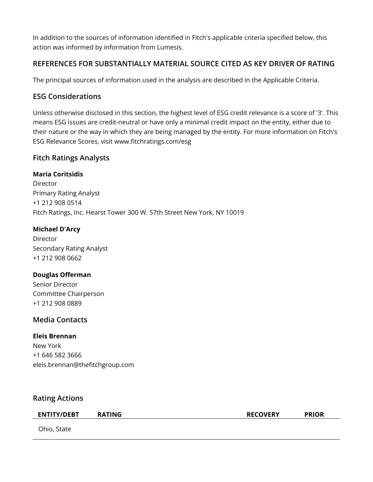In addition to the sources of information identified in Fitch's applicable criteria specified below, this action was informed by information from Lumesis.

# **REFERENCES FOR SUBSTANTIALLY MATERIAL SOURCE CITED AS KEY DRIVER OF RATING**

The principal sources of information used in the analysis are described in the Applicable Criteria.

# **ESG Considerations**

Unless otherwise disclosed in this section, the highest level of ESG credit relevance is a score of '3'. This means ESG issues are credit-neutral or have only a minimal credit impact on the entity, either due to their nature or the way in which they are being managed by the entity. For more information on Fitch's ESG Relevance Scores, visit www.fitchratings.com/esg

# **Fitch Ratings Analysts**

#### **Maria Coritsidis**

Director Primary Rating Analyst +1 212 908 0514 Fitch Ratings, Inc. Hearst Tower 300 W. 57th Street New York, NY 10019

#### **Michael D'Arcy**

Director Secondary Rating Analyst +1 212 908 0662

#### **Douglas Offerman**

Senior Director Committee Chairperson +1 212 908 0889

## **Media Contacts**

#### **Eleis Brennan**

New York +1 646 582 3666 eleis.brennan@thefitchgroup.com

## **Rating Actions**

#### **ENTITY/DEBT RATING RECOVERY PRIOR**

Ohio, State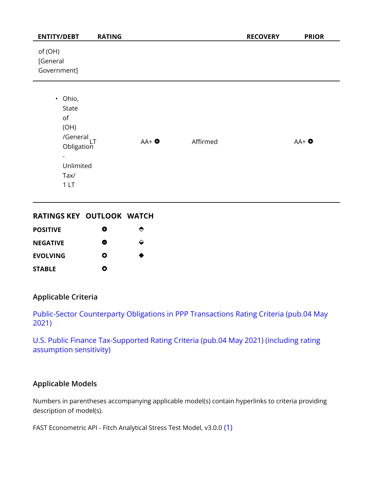| <b>ENTITY/DEBT</b>                                                                                                             | <b>RATING</b> |                 |          | <b>RECOVERY</b> | <b>PRIOR</b>    |
|--------------------------------------------------------------------------------------------------------------------------------|---------------|-----------------|----------|-----------------|-----------------|
| of (OH)<br>[General<br>Government]                                                                                             |               |                 |          |                 |                 |
| • Ohio,<br>State<br>of<br>(OH)<br>/General <sub>LT</sub><br>Obligation<br>$\overline{\phantom{0}}$<br>Unlimited<br>Tax/<br>1LT |               | $AA+$ $\bullet$ | Affirmed |                 | $AA+$ $\bullet$ |

#### **RATINGS KEY OUTLOOK WATCH**

| <b>POSITIVE</b> | O | ◓ |
|-----------------|---|---|
| <b>NEGATIVE</b> | 8 | ↩ |
| <b>EVOLVING</b> | Ο | ● |
| <b>STABLE</b>   | О |   |

## **Applicable Criteria**

[Public-Sector Counterparty Obligations in PPP Transactions Rating Criteria \(pub.04 May](https://app.fitchconnect.com/search/research/article/RPT_10161059) [2021\)](https://app.fitchconnect.com/search/research/article/RPT_10161059)

[U.S. Public Finance Tax-Supported Rating Criteria \(pub.04 May 2021\) \(including rating](https://app.fitchconnect.com/search/research/article/RPT_10158564) [assumption sensitivity\)](https://app.fitchconnect.com/search/research/article/RPT_10158564)

# **Applicable Models**

Numbers in parentheses accompanying applicable model(s) contain hyperlinks to criteria providing description of model(s).

FAST Econometric API - Fitch Analytical Stress Test Model, v3.0.0 [\(1\)](https://app.fitchconnect.com/search/research/article/RPT_993487)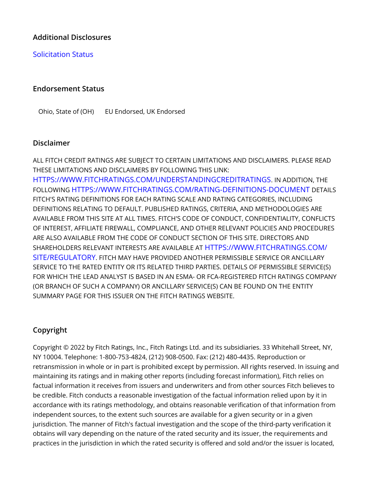# **Additional Disclosures**

## [Solicitation Status](https://www.fitchratings.com/research/us-public-finance/fitch-rates-ohio-427mm-go-bonds-aa-outlook-positive-04-02-2022#solicitation-status)

#### **Endorsement Status**

Ohio, State of (OH) EU Endorsed, UK Endorsed

#### **Disclaimer**

ALL FITCH CREDIT RATINGS ARE SUBJECT TO CERTAIN LIMITATIONS AND DISCLAIMERS. PLEASE READ THESE LIMITATIONS AND DISCLAIMERS BY FOLLOWING THIS LINK:

[HTTPS://WWW.FITCHRATINGS.COM/UNDERSTANDINGCREDITRATINGS](https://www.fitchratings.com/UNDERSTANDINGCREDITRATINGS). IN ADDITION, THE FOLLOWING [HTTPS://WWW.FITCHRATINGS.COM/RATING-DEFINITIONS-DOCUMENT](https://www.fitchratings.com/rating-definitions-document) DETAILS FITCH'S RATING DEFINITIONS FOR EACH RATING SCALE AND RATING CATEGORIES, INCLUDING DEFINITIONS RELATING TO DEFAULT. PUBLISHED RATINGS, CRITERIA, AND METHODOLOGIES ARE AVAILABLE FROM THIS SITE AT ALL TIMES. FITCH'S CODE OF CONDUCT, CONFIDENTIALITY, CONFLICTS OF INTEREST, AFFILIATE FIREWALL, COMPLIANCE, AND OTHER RELEVANT POLICIES AND PROCEDURES ARE ALSO AVAILABLE FROM THE CODE OF CONDUCT SECTION OF THIS SITE. DIRECTORS AND SHAREHOLDERS RELEVANT INTERESTS ARE AVAILABLE AT [HTTPS://WWW.FITCHRATINGS.COM/](https://www.fitchratings.com/site/regulatory) [SITE/REGULATORY](https://www.fitchratings.com/site/regulatory). FITCH MAY HAVE PROVIDED ANOTHER PERMISSIBLE SERVICE OR ANCILLARY SERVICE TO THE RATED ENTITY OR ITS RELATED THIRD PARTIES. DETAILS OF PERMISSIBLE SERVICE(S) FOR WHICH THE LEAD ANALYST IS BASED IN AN ESMA- OR FCA-REGISTERED FITCH RATINGS COMPANY (OR BRANCH OF SUCH A COMPANY) OR ANCILLARY SERVICE(S) CAN BE FOUND ON THE ENTITY SUMMARY PAGE FOR THIS ISSUER ON THE FITCH RATINGS WEBSITE.

# **Copyright**

Copyright © 2022 by Fitch Ratings, Inc., Fitch Ratings Ltd. and its subsidiaries. 33 Whitehall Street, NY, NY 10004. Telephone: 1-800-753-4824, (212) 908-0500. Fax: (212) 480-4435. Reproduction or retransmission in whole or in part is prohibited except by permission. All rights reserved. In issuing and maintaining its ratings and in making other reports (including forecast information), Fitch relies on factual information it receives from issuers and underwriters and from other sources Fitch believes to be credible. Fitch conducts a reasonable investigation of the factual information relied upon by it in accordance with its ratings methodology, and obtains reasonable verification of that information from independent sources, to the extent such sources are available for a given security or in a given jurisdiction. The manner of Fitch's factual investigation and the scope of the third-party verification it obtains will vary depending on the nature of the rated security and its issuer, the requirements and practices in the jurisdiction in which the rated security is offered and sold and/or the issuer is located,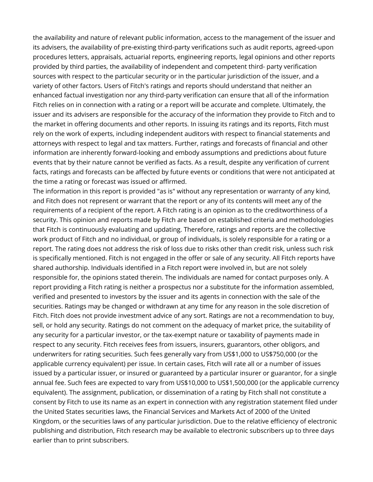the availability and nature of relevant public information, access to the management of the issuer and its advisers, the availability of pre-existing third-party verifications such as audit reports, agreed-upon procedures letters, appraisals, actuarial reports, engineering reports, legal opinions and other reports provided by third parties, the availability of independent and competent third- party verification sources with respect to the particular security or in the particular jurisdiction of the issuer, and a variety of other factors. Users of Fitch's ratings and reports should understand that neither an enhanced factual investigation nor any third-party verification can ensure that all of the information Fitch relies on in connection with a rating or a report will be accurate and complete. Ultimately, the issuer and its advisers are responsible for the accuracy of the information they provide to Fitch and to the market in offering documents and other reports. In issuing its ratings and its reports, Fitch must rely on the work of experts, including independent auditors with respect to financial statements and attorneys with respect to legal and tax matters. Further, ratings and forecasts of financial and other information are inherently forward-looking and embody assumptions and predictions about future events that by their nature cannot be verified as facts. As a result, despite any verification of current facts, ratings and forecasts can be affected by future events or conditions that were not anticipated at the time a rating or forecast was issued or affirmed.

The information in this report is provided "as is" without any representation or warranty of any kind, and Fitch does not represent or warrant that the report or any of its contents will meet any of the requirements of a recipient of the report. A Fitch rating is an opinion as to the creditworthiness of a security. This opinion and reports made by Fitch are based on established criteria and methodologies that Fitch is continuously evaluating and updating. Therefore, ratings and reports are the collective work product of Fitch and no individual, or group of individuals, is solely responsible for a rating or a report. The rating does not address the risk of loss due to risks other than credit risk, unless such risk is specifically mentioned. Fitch is not engaged in the offer or sale of any security. All Fitch reports have shared authorship. Individuals identified in a Fitch report were involved in, but are not solely responsible for, the opinions stated therein. The individuals are named for contact purposes only. A report providing a Fitch rating is neither a prospectus nor a substitute for the information assembled, verified and presented to investors by the issuer and its agents in connection with the sale of the securities. Ratings may be changed or withdrawn at any time for any reason in the sole discretion of Fitch. Fitch does not provide investment advice of any sort. Ratings are not a recommendation to buy, sell, or hold any security. Ratings do not comment on the adequacy of market price, the suitability of any security for a particular investor, or the tax-exempt nature or taxability of payments made in respect to any security. Fitch receives fees from issuers, insurers, guarantors, other obligors, and underwriters for rating securities. Such fees generally vary from US\$1,000 to US\$750,000 (or the applicable currency equivalent) per issue. In certain cases, Fitch will rate all or a number of issues issued by a particular issuer, or insured or guaranteed by a particular insurer or guarantor, for a single annual fee. Such fees are expected to vary from US\$10,000 to US\$1,500,000 (or the applicable currency equivalent). The assignment, publication, or dissemination of a rating by Fitch shall not constitute a consent by Fitch to use its name as an expert in connection with any registration statement filed under the United States securities laws, the Financial Services and Markets Act of 2000 of the United Kingdom, or the securities laws of any particular jurisdiction. Due to the relative efficiency of electronic publishing and distribution, Fitch research may be available to electronic subscribers up to three days earlier than to print subscribers.